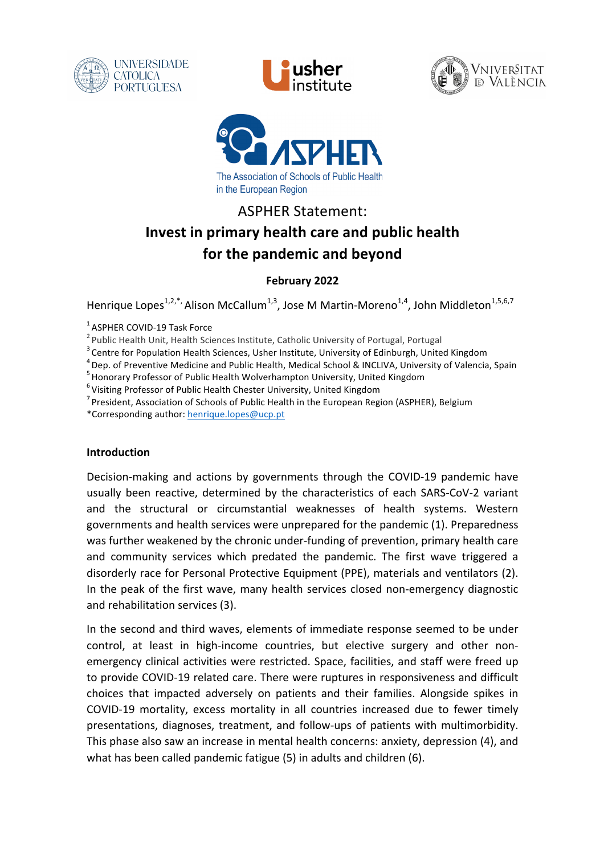







# ASPHER Statement: **Invest in primary health care and public health for the pandemic and beyond**

# **February 2022**

Henrique Lopes<sup>1,2,\*</sup>, Alison McCallum<sup>1,3</sup>, Jose M Martin-Moreno<sup>1,4</sup>, John Middleton<sup>1,5,6,7</sup>

- <sup>1</sup> ASPHER COVID-19 Task Force<br>
<sup>2</sup> Public Health Unit, Health Sciences Institute, Catholic University of Portugal, Portugal<br>
<sup>3</sup> Centre for Population Health Sciences, Usher Institute, University of Edinburgh, United Kin
- 

\*Corresponding author: henrique.lopes@ucp.pt

#### **Introduction**

Decision-making and actions by governments through the COVID-19 pandemic have usually been reactive, determined by the characteristics of each SARS-CoV-2 variant and the structural or circumstantial weaknesses of health systems. Western governments and health services were unprepared for the pandemic (1). Preparedness was further weakened by the chronic under-funding of prevention, primary health care and community services which predated the pandemic. The first wave triggered a disorderly race for Personal Protective Equipment (PPE), materials and ventilators (2). In the peak of the first wave, many health services closed non-emergency diagnostic and rehabilitation services (3).

In the second and third waves, elements of immediate response seemed to be under control, at least in high-income countries, but elective surgery and other nonemergency clinical activities were restricted. Space, facilities, and staff were freed up to provide COVID-19 related care. There were ruptures in responsiveness and difficult choices that impacted adversely on patients and their families. Alongside spikes in COVID-19 mortality, excess mortality in all countries increased due to fewer timely presentations, diagnoses, treatment, and follow-ups of patients with multimorbidity. This phase also saw an increase in mental health concerns: anxiety, depression (4), and what has been called pandemic fatigue (5) in adults and children (6).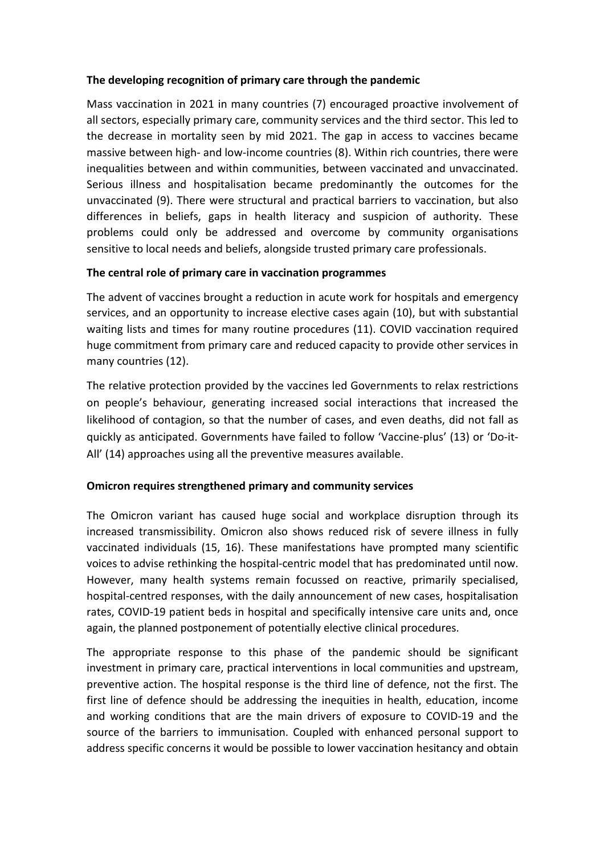#### The developing recognition of primary care through the pandemic

Mass vaccination in 2021 in many countries (7) encouraged proactive involvement of all sectors, especially primary care, community services and the third sector. This led to the decrease in mortality seen by mid 2021. The gap in access to vaccines became massive between high- and low-income countries (8). Within rich countries, there were inequalities between and within communities, between vaccinated and unvaccinated. Serious illness and hospitalisation became predominantly the outcomes for the unvaccinated (9). There were structural and practical barriers to vaccination, but also differences in beliefs, gaps in health literacy and suspicion of authority. These problems could only be addressed and overcome by community organisations sensitive to local needs and beliefs, alongside trusted primary care professionals.

# The central role of primary care in vaccination programmes

The advent of vaccines brought a reduction in acute work for hospitals and emergency services, and an opportunity to increase elective cases again (10), but with substantial waiting lists and times for many routine procedures (11). COVID vaccination required huge commitment from primary care and reduced capacity to provide other services in many countries (12).

The relative protection provided by the vaccines led Governments to relax restrictions on people's behaviour, generating increased social interactions that increased the likelihood of contagion, so that the number of cases, and even deaths, did not fall as quickly as anticipated. Governments have failed to follow 'Vaccine-plus' (13) or 'Do-it-All' (14) approaches using all the preventive measures available.

# **Omicron requires strengthened primary and community services**

The Omicron variant has caused huge social and workplace disruption through its increased transmissibility. Omicron also shows reduced risk of severe illness in fully vaccinated individuals (15, 16). These manifestations have prompted many scientific voices to advise rethinking the hospital-centric model that has predominated until now. However, many health systems remain focussed on reactive, primarily specialised, hospital-centred responses, with the daily announcement of new cases, hospitalisation rates, COVID-19 patient beds in hospital and specifically intensive care units and, once again, the planned postponement of potentially elective clinical procedures.

The appropriate response to this phase of the pandemic should be significant investment in primary care, practical interventions in local communities and upstream, preventive action. The hospital response is the third line of defence, not the first. The first line of defence should be addressing the inequities in health, education, income and working conditions that are the main drivers of exposure to COVID-19 and the source of the barriers to immunisation. Coupled with enhanced personal support to address specific concerns it would be possible to lower vaccination hesitancy and obtain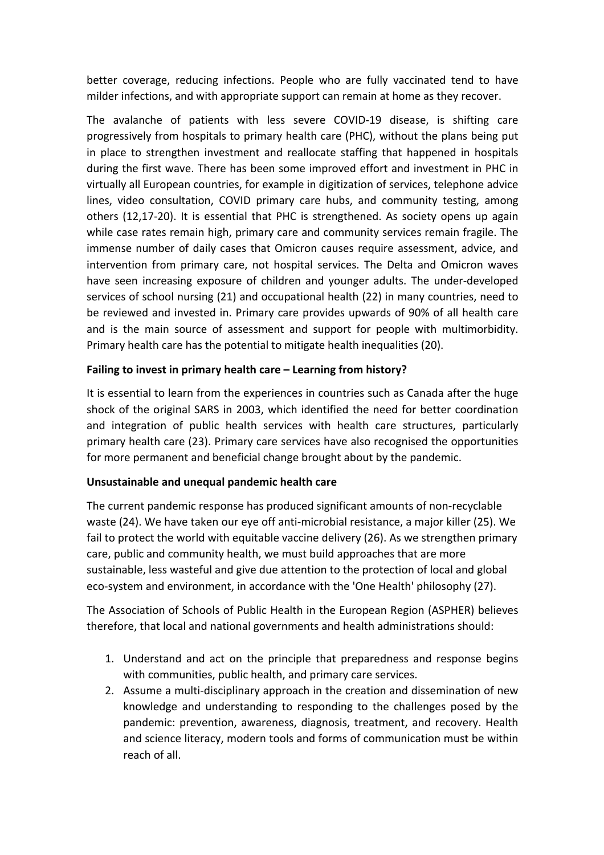better coverage, reducing infections. People who are fully vaccinated tend to have milder infections, and with appropriate support can remain at home as they recover.

The avalanche of patients with less severe COVID-19 disease, is shifting care progressively from hospitals to primary health care (PHC), without the plans being put in place to strengthen investment and reallocate staffing that happened in hospitals during the first wave. There has been some improved effort and investment in PHC in virtually all European countries, for example in digitization of services, telephone advice lines, video consultation, COVID primary care hubs, and community testing, among others (12,17-20). It is essential that PHC is strengthened. As society opens up again while case rates remain high, primary care and community services remain fragile. The immense number of daily cases that Omicron causes require assessment, advice, and intervention from primary care, not hospital services. The Delta and Omicron waves have seen increasing exposure of children and younger adults. The under-developed services of school nursing (21) and occupational health (22) in many countries, need to be reviewed and invested in. Primary care provides upwards of 90% of all health care and is the main source of assessment and support for people with multimorbidity. Primary health care has the potential to mitigate health inequalities (20).

# **Failing to invest in primary health care – Learning from history?**

It is essential to learn from the experiences in countries such as Canada after the huge shock of the original SARS in 2003, which identified the need for better coordination and integration of public health services with health care structures, particularly primary health care (23). Primary care services have also recognised the opportunities for more permanent and beneficial change brought about by the pandemic.

# **Unsustainable and unequal pandemic health care**

The current pandemic response has produced significant amounts of non-recyclable waste (24). We have taken our eye off anti-microbial resistance, a major killer (25). We fail to protect the world with equitable vaccine delivery (26). As we strengthen primary care, public and community health, we must build approaches that are more sustainable, less wasteful and give due attention to the protection of local and global eco-system and environment, in accordance with the 'One Health' philosophy (27).

The Association of Schools of Public Health in the European Region (ASPHER) believes therefore, that local and national governments and health administrations should:

- 1. Understand and act on the principle that preparedness and response begins with communities, public health, and primary care services.
- 2. Assume a multi-disciplinary approach in the creation and dissemination of new knowledge and understanding to responding to the challenges posed by the pandemic: prevention, awareness, diagnosis, treatment, and recovery. Health and science literacy, modern tools and forms of communication must be within reach of all.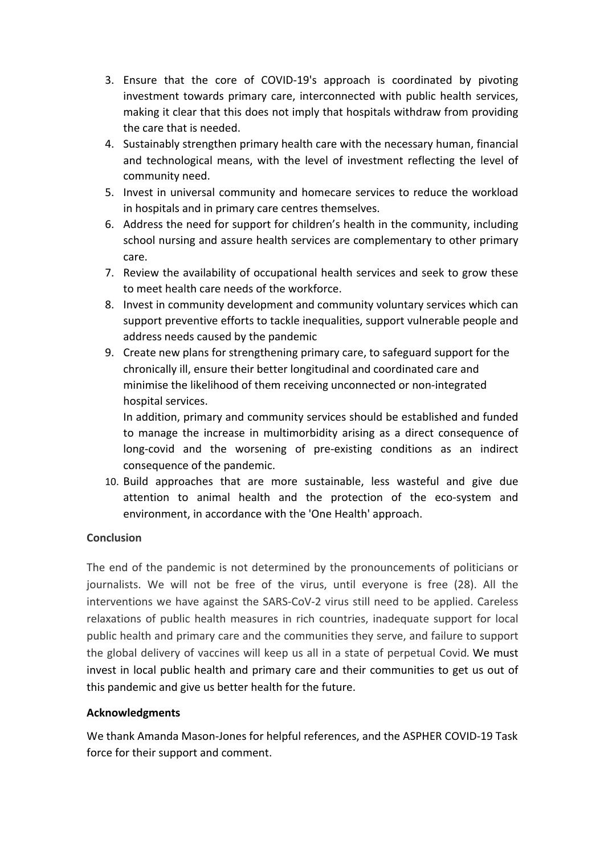- 3. Ensure that the core of COVID-19's approach is coordinated by pivoting investment towards primary care, interconnected with public health services, making it clear that this does not imply that hospitals withdraw from providing the care that is needed.
- 4. Sustainably strengthen primary health care with the necessary human, financial and technological means, with the level of investment reflecting the level of community need.
- 5. Invest in universal community and homecare services to reduce the workload in hospitals and in primary care centres themselves.
- 6. Address the need for support for children's health in the community, including school nursing and assure health services are complementary to other primary care.
- 7. Review the availability of occupational health services and seek to grow these to meet health care needs of the workforce.
- 8. Invest in community development and community voluntary services which can support preventive efforts to tackle inequalities, support vulnerable people and address needs caused by the pandemic
- 9. Create new plans for strengthening primary care, to safeguard support for the chronically ill, ensure their better longitudinal and coordinated care and minimise the likelihood of them receiving unconnected or non-integrated hospital services.

In addition, primary and community services should be established and funded to manage the increase in multimorbidity arising as a direct consequence of long-covid and the worsening of pre-existing conditions as an indirect consequence of the pandemic.

10. Build approaches that are more sustainable, less wasteful and give due attention to animal health and the protection of the eco-system and environment, in accordance with the 'One Health' approach.

# **Conclusion**

The end of the pandemic is not determined by the pronouncements of politicians or journalists. We will not be free of the virus, until everyone is free (28). All the interventions we have against the SARS-CoV-2 virus still need to be applied. Careless relaxations of public health measures in rich countries, inadequate support for local public health and primary care and the communities they serve, and failure to support the global delivery of vaccines will keep us all in a state of perpetual Covid. We must invest in local public health and primary care and their communities to get us out of this pandemic and give us better health for the future.

# **Acknowledgments**

We thank Amanda Mason-Jones for helpful references, and the ASPHER COVID-19 Task force for their support and comment.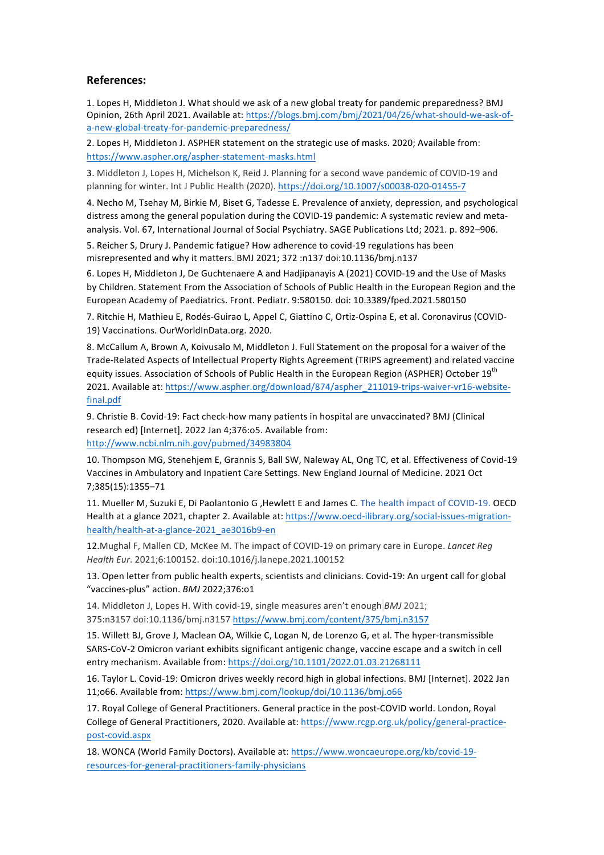#### **References:**

1. Lopes H. Middleton J. What should we ask of a new global treaty for pandemic preparedness? BMJ Opinion, 26th April 2021. Available at: https://blogs.bmj.com/bmj/2021/04/26/what-should-we-ask-ofa-new-global-treaty-for-pandemic-preparedness/

2. Lopes H, Middleton J. ASPHER statement on the strategic use of masks. 2020; Available from: https://www.aspher.org/aspher-statement-masks.html

3. Middleton J, Lopes H, Michelson K, Reid J. Planning for a second wave pandemic of COVID-19 and planning for winter. Int J Public Health (2020). https://doi.org/10.1007/s00038-020-01455-7

4. Necho M, Tsehay M, Birkie M, Biset G, Tadesse E. Prevalence of anxiety, depression, and psychological distress among the general population during the COVID-19 pandemic: A systematic review and metaanalysis. Vol. 67, International Journal of Social Psychiatry. SAGE Publications Ltd; 2021. p. 892-906.

5. Reicher S, Drury J. Pandemic fatigue? How adherence to covid-19 regulations has been misrepresented and why it matters. BMJ 2021; 372 :n137 doi:10.1136/bmj.n137

6. Lopes H, Middleton J, De Guchtenaere A and Hadjipanayis A (2021) COVID-19 and the Use of Masks by Children. Statement From the Association of Schools of Public Health in the European Region and the European Academy of Paediatrics. Front. Pediatr. 9:580150. doi: 10.3389/fped.2021.580150

7. Ritchie H, Mathieu E, Rodés-Guirao L, Appel C, Giattino C, Ortiz-Ospina E, et al. Coronavirus (COVID-19) Vaccinations. OurWorldInData.org. 2020.

8. McCallum A, Brown A, Koivusalo M, Middleton J. Full Statement on the proposal for a waiver of the Trade-Related Aspects of Intellectual Property Rights Agreement (TRIPS agreement) and related vaccine equity issues. Association of Schools of Public Health in the European Region (ASPHER) October 19<sup>th</sup> 2021. Available at: https://www.aspher.org/download/874/aspher\_211019-trips-waiver-vr16-websitefinal.pdf

9. Christie B. Covid-19: Fact check-how many patients in hospital are unvaccinated? BMJ (Clinical research ed) [Internet]. 2022 Jan 4;376:o5. Available from: http://www.ncbi.nlm.nih.gov/pubmed/34983804

10. Thompson MG, Stenehjem E, Grannis S, Ball SW, Naleway AL, Ong TC, et al. Effectiveness of Covid-19 Vaccines in Ambulatory and Inpatient Care Settings. New England Journal of Medicine. 2021 Oct 7;385(15):1355–71

11. Mueller M, Suzuki E, Di Paolantonio G , Hewlett E and James C. The health impact of COVID-19. OECD Health at a glance 2021, chapter 2. Available at: https://www.oecd-ilibrary.org/social-issues-migrationhealth/health-at-a-glance-2021\_ae3016b9-en

12. Mughal F, Mallen CD, McKee M. The impact of COVID-19 on primary care in Europe. *Lancet Reg Health Eur*. 2021;6:100152. doi:10.1016/j.lanepe.2021.100152 

13. Open letter from public health experts, scientists and clinicians. Covid-19: An urgent call for global "vaccines-plus" action. *BMJ* 2022;376:o1

14. Middleton J, Lopes H. With covid-19, single measures aren't enough *BMJ* 2021; 375:n3157 doi:10.1136/bmj.n3157 https://www.bmj.com/content/375/bmj.n3157

15. Willett BJ, Grove J, Maclean OA, Wilkie C, Logan N, de Lorenzo G, et al. The hyper-transmissible SARS-CoV-2 Omicron variant exhibits significant antigenic change, vaccine escape and a switch in cell entry mechanism. Available from: https://doi.org/10.1101/2022.01.03.21268111

16. Taylor L. Covid-19: Omicron drives weekly record high in global infections. BMJ [Internet]. 2022 Jan 11;o66. Available from: https://www.bmj.com/lookup/doi/10.1136/bmj.o66

17. Royal College of General Practitioners. General practice in the post-COVID world. London, Royal College of General Practitioners, 2020. Available at: https://www.rcgp.org.uk/policy/general-practicepost-covid.aspx

18. WONCA (World Family Doctors). Available at: https://www.woncaeurope.org/kb/covid-19resources-for-general-practitioners-family-physicians